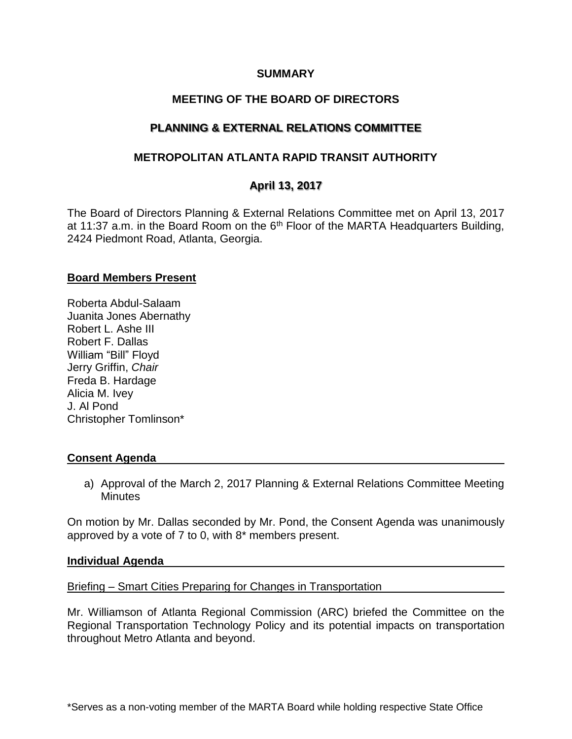#### **SUMMARY**

# **MEETING OF THE BOARD OF DIRECTORS**

# **PLANNING & EXTERNAL RELATIONS COMMITTEE**

## **METROPOLITAN ATLANTA RAPID TRANSIT AUTHORITY**

# **April 13, 2017**

The Board of Directors Planning & External Relations Committee met on April 13, 2017 at 11:37 a.m. in the Board Room on the  $6<sup>th</sup>$  Floor of the MARTA Headquarters Building, 2424 Piedmont Road, Atlanta, Georgia.

#### **Board Members Present**

Roberta Abdul-Salaam Juanita Jones Abernathy Robert L. Ashe III Robert F. Dallas William "Bill" Floyd Jerry Griffin, *Chair* Freda B. Hardage Alicia M. Ivey J. Al Pond Christopher Tomlinson\*

### **Consent Agenda**

a) Approval of the March 2, 2017 Planning & External Relations Committee Meeting **Minutes** 

On motion by Mr. Dallas seconded by Mr. Pond, the Consent Agenda was unanimously approved by a vote of 7 to 0, with 8\* members present.

#### **Individual Agenda**

Briefing – Smart Cities Preparing for Changes in Transportation

Mr. Williamson of Atlanta Regional Commission (ARC) briefed the Committee on the Regional Transportation Technology Policy and its potential impacts on transportation throughout Metro Atlanta and beyond.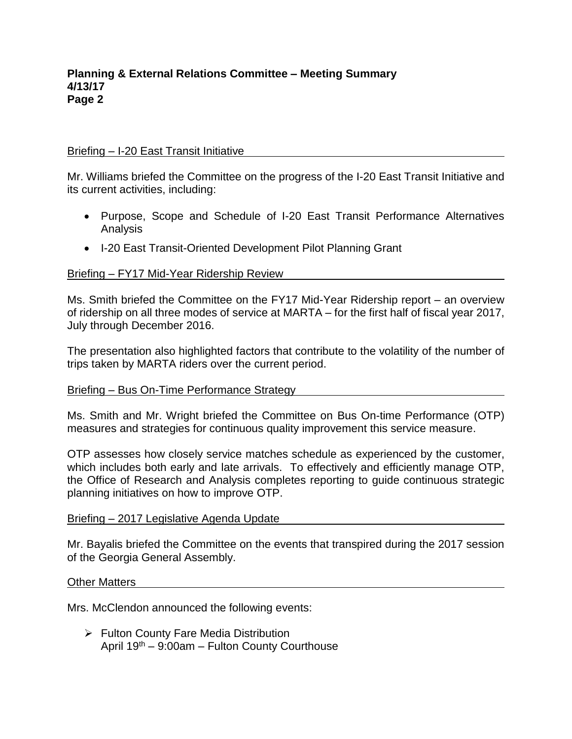### Briefing – I-20 East Transit Initiative

Mr. Williams briefed the Committee on the progress of the I-20 East Transit Initiative and its current activities, including:

- Purpose, Scope and Schedule of I-20 East Transit Performance Alternatives Analysis
- I-20 East Transit-Oriented Development Pilot Planning Grant

#### Briefing – FY17 Mid-Year Ridership Review

Ms. Smith briefed the Committee on the FY17 Mid-Year Ridership report – an overview of ridership on all three modes of service at MARTA – for the first half of fiscal year 2017, July through December 2016.

The presentation also highlighted factors that contribute to the volatility of the number of trips taken by MARTA riders over the current period.

#### Briefing – Bus On-Time Performance Strategy

Ms. Smith and Mr. Wright briefed the Committee on Bus On-time Performance (OTP) measures and strategies for continuous quality improvement this service measure.

OTP assesses how closely service matches schedule as experienced by the customer, which includes both early and late arrivals. To effectively and efficiently manage OTP, the Office of Research and Analysis completes reporting to guide continuous strategic planning initiatives on how to improve OTP.

#### Briefing – 2017 Legislative Agenda Update

Mr. Bayalis briefed the Committee on the events that transpired during the 2017 session of the Georgia General Assembly.

#### Other Matters

Mrs. McClendon announced the following events:

➢ Fulton County Fare Media Distribution April 19th – 9:00am – Fulton County Courthouse